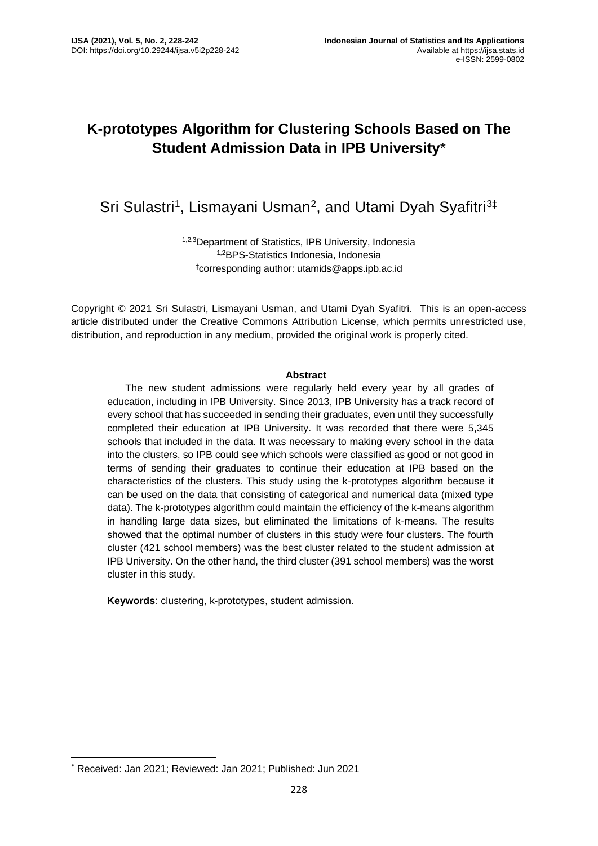# **K-prototypes Algorithm for Clustering Schools Based on The Student Admission Data in IPB University**\*

# Sri Sulastri<sup>1</sup>, Lismayani Usman<sup>2</sup>, and Utami Dyah Syafitri<sup>3‡</sup>

1,2,3Department of Statistics, IPB University, Indonesia 1,2BPS-Statistics Indonesia, Indonesia ‡corresponding author: utamids@apps.ipb.ac.id

Copyright © 2021 Sri Sulastri, Lismayani Usman, and Utami Dyah Syafitri. This is an open-access article distributed under the Creative Commons Attribution License, which permits unrestricted use, distribution, and reproduction in any medium, provided the original work is properly cited.

#### **Abstract**

The new student admissions were regularly held every year by all grades of education, including in IPB University. Since 2013, IPB University has a track record of every school that has succeeded in sending their graduates, even until they successfully completed their education at IPB University. It was recorded that there were 5,345 schools that included in the data. It was necessary to making every school in the data into the clusters, so IPB could see which schools were classified as good or not good in terms of sending their graduates to continue their education at IPB based on the characteristics of the clusters. This study using the k-prototypes algorithm because it can be used on the data that consisting of categorical and numerical data (mixed type data). The k-prototypes algorithm could maintain the efficiency of the k-means algorithm in handling large data sizes, but eliminated the limitations of k-means. The results showed that the optimal number of clusters in this study were four clusters. The fourth cluster (421 school members) was the best cluster related to the student admission at IPB University. On the other hand, the third cluster (391 school members) was the worst cluster in this study.

**Keywords**: clustering, k-prototypes, student admission.

<sup>\*</sup> Received: Jan 2021; Reviewed: Jan 2021; Published: Jun 2021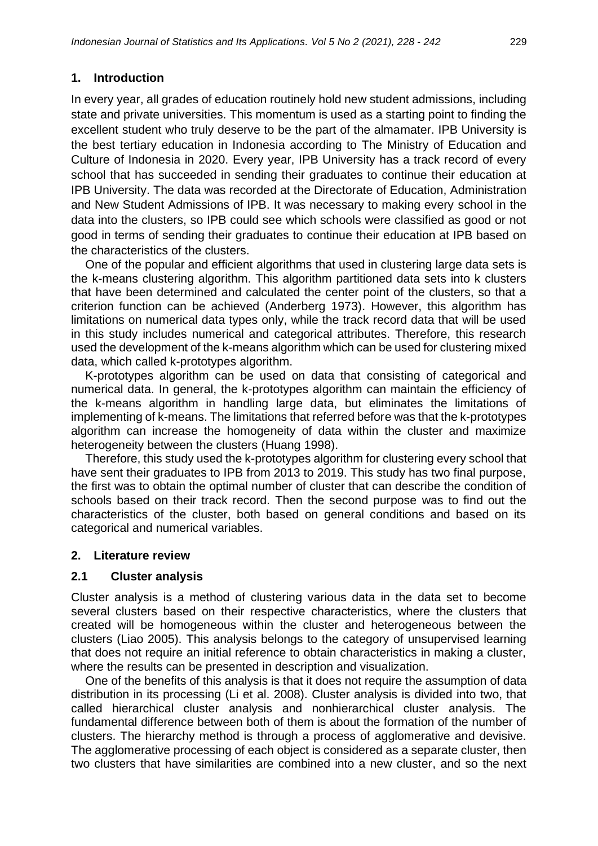## **1. Introduction**

In every year, all grades of education routinely hold new student admissions, including state and private universities. This momentum is used as a starting point to finding the excellent student who truly deserve to be the part of the almamater. IPB University is the best tertiary education in Indonesia according to The Ministry of Education and Culture of Indonesia in 2020. Every year, IPB University has a track record of every school that has succeeded in sending their graduates to continue their education at IPB University. The data was recorded at the Directorate of Education, Administration and New Student Admissions of IPB. It was necessary to making every school in the data into the clusters, so IPB could see which schools were classified as good or not good in terms of sending their graduates to continue their education at IPB based on the characteristics of the clusters.

One of the popular and efficient algorithms that used in clustering large data sets is the k-means clustering algorithm. This algorithm partitioned data sets into k clusters that have been determined and calculated the center point of the clusters, so that a criterion function can be achieved (Anderberg 1973). However, this algorithm has limitations on numerical data types only, while the track record data that will be used in this study includes numerical and categorical attributes. Therefore, this research used the development of the k-means algorithm which can be used for clustering mixed data, which called k-prototypes algorithm.

K-prototypes algorithm can be used on data that consisting of categorical and numerical data. In general, the k-prototypes algorithm can maintain the efficiency of the k-means algorithm in handling large data, but eliminates the limitations of implementing of k-means. The limitations that referred before was that the k-prototypes algorithm can increase the homogeneity of data within the cluster and maximize heterogeneity between the clusters (Huang 1998).

Therefore, this study used the k-prototypes algorithm for clustering every school that have sent their graduates to IPB from 2013 to 2019. This study has two final purpose, the first was to obtain the optimal number of cluster that can describe the condition of schools based on their track record. Then the second purpose was to find out the characteristics of the cluster, both based on general conditions and based on its categorical and numerical variables.

## **2. Literature review**

## **2.1 Cluster analysis**

Cluster analysis is a method of clustering various data in the data set to become several clusters based on their respective characteristics, where the clusters that created will be homogeneous within the cluster and heterogeneous between the clusters (Liao 2005). This analysis belongs to the category of unsupervised learning that does not require an initial reference to obtain characteristics in making a cluster, where the results can be presented in description and visualization.

One of the benefits of this analysis is that it does not require the assumption of data distribution in its processing (Li et al. 2008). Cluster analysis is divided into two, that called hierarchical cluster analysis and nonhierarchical cluster analysis. The fundamental difference between both of them is about the formation of the number of clusters. The hierarchy method is through a process of agglomerative and devisive. The agglomerative processing of each object is considered as a separate cluster, then two clusters that have similarities are combined into a new cluster, and so the next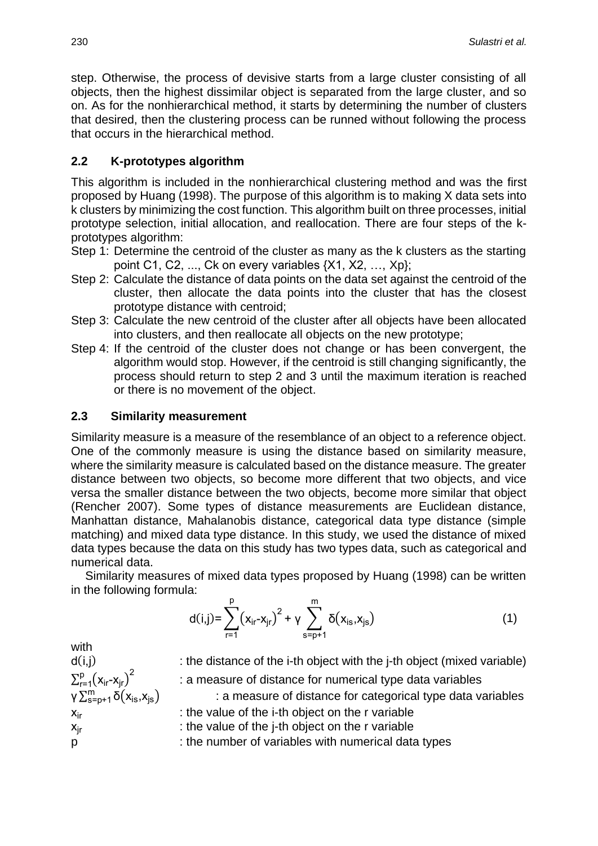step. Otherwise, the process of devisive starts from a large cluster consisting of all objects, then the highest dissimilar object is separated from the large cluster, and so on. As for the nonhierarchical method, it starts by determining the number of clusters that desired, then the clustering process can be runned without following the process that occurs in the hierarchical method.

# **2.2 K-prototypes algorithm**

This algorithm is included in the nonhierarchical clustering method and was the first proposed by Huang (1998). The purpose of this algorithm is to making X data sets into k clusters by minimizing the cost function. This algorithm built on three processes, initial prototype selection, initial allocation, and reallocation. There are four steps of the kprototypes algorithm:

- Step 1: Determine the centroid of the cluster as many as the k clusters as the starting point C1, C2, ..., Ck on every variables {X1, X2, …, Xp};
- Step 2: Calculate the distance of data points on the data set against the centroid of the cluster, then allocate the data points into the cluster that has the closest prototype distance with centroid;
- Step 3: Calculate the new centroid of the cluster after all objects have been allocated into clusters, and then reallocate all objects on the new prototype;
- Step 4: If the centroid of the cluster does not change or has been convergent, the algorithm would stop. However, if the centroid is still changing significantly, the process should return to step 2 and 3 until the maximum iteration is reached or there is no movement of the object.

## **2.3 Similarity measurement**

Similarity measure is a measure of the resemblance of an object to a reference object. One of the commonly measure is using the distance based on similarity measure, where the similarity measure is calculated based on the distance measure. The greater distance between two objects, so become more different that two objects, and vice versa the smaller distance between the two objects, become more similar that object (Rencher 2007). Some types of distance measurements are Euclidean distance, Manhattan distance, Mahalanobis distance, categorical data type distance (simple matching) and mixed data type distance. In this study, we used the distance of mixed data types because the data on this study has two types data, such as categorical and numerical data.

Similarity measures of mixed data types proposed by Huang (1998) can be written in the following formula:

$$
d(i,j) = \sum_{r=1}^{p} (x_{ir} - x_{jr})^2 + \gamma \sum_{s=p+1}^{m} \delta(x_{is}, x_{js})
$$
 (1)

with  $\sum_{r=1}^{p} (x_{ir} - x_{jr})^2$ γ $\sum_{s=p+1}^{m} \delta(x_{is}, x_{js})$ 

 $d(i,j)$  : the distance of the i-th object with the j-th object (mixed variable) : a measure of distance for numerical type data variables : a measure of distance for categorical type data variables

 $x<sub>ir</sub>$  : the value of the i-th object on the r variable

 $x_{ir}$  : the value of the j-th object on the r variable

p : the number of variables with numerical data types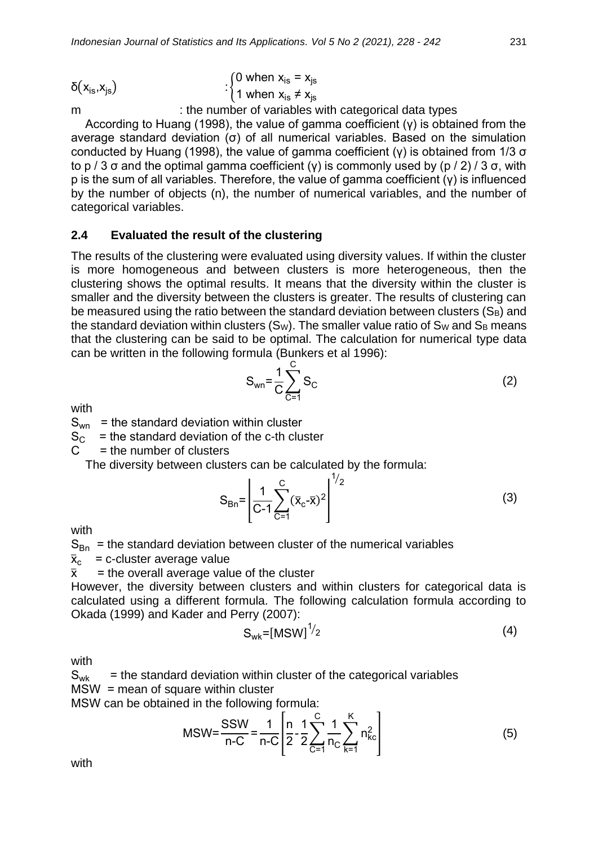$$
\delta(x_{\rm is}, x_{\rm js}) \qquad \qquad : \begin{cases} 0 \text{ when } x_{\rm is} = x_{\rm js} \\ 1 \text{ when } x_{\rm is} \neq x_{\rm js} \end{cases}
$$

m : the number of variables with categorical data types

According to Huang (1998), the value of gamma coefficient (γ) is obtained from the average standard deviation (σ) of all numerical variables. Based on the simulation conducted by Huang (1998), the value of gamma coefficient (γ) is obtained from 1/3 σ to p / 3 σ and the optimal gamma coefficient (γ) is commonly used by (p / 2) / 3 σ, with p is the sum of all variables. Therefore, the value of gamma coefficient (γ) is influenced by the number of objects (n), the number of numerical variables, and the number of categorical variables.

## **2.4 Evaluated the result of the clustering**

The results of the clustering were evaluated using diversity values. If within the cluster is more homogeneous and between clusters is more heterogeneous, then the clustering shows the optimal results. It means that the diversity within the cluster is smaller and the diversity between the clusters is greater. The results of clustering can be measured using the ratio between the standard deviation between clusters  $(S_B)$  and the standard deviation within clusters  $(S_W)$ . The smaller value ratio of  $S_W$  and  $S_B$  means that the clustering can be said to be optimal. The calculation for numerical type data can be written in the following formula (Bunkers et al 1996):

$$
S_{wn} = \frac{1}{C} \sum_{C=1}^{C} S_C
$$
 (2)

with

 $S_{wn}$  = the standard deviation within cluster

 $S_{\text{C}}$  = the standard deviation of the c-th cluster

 $C =$  the number of clusters

The diversity between clusters can be calculated by the formula:

$$
S_{Bn} = \left[ \frac{1}{C-1} \sum_{C=1}^{C} (\bar{x}_C - \bar{x})^2 \right]^{1/2}
$$
 (3)

with

 $S_{Bn}$  = the standard deviation between cluster of the numerical variables

 $\bar{x}_{c}$  = c-cluster average value

 $\bar{x}$  = the overall average value of the cluster

However, the diversity between clusters and within clusters for categorical data is calculated using a different formula. The following calculation formula according to Okada (1999) and Kader and Perry (2007):

$$
S_{wk} = [MSW]^{1/2}
$$
 (4)

with

 $S_{wk}$  = the standard deviation within cluster of the categorical variables  $MSW =$  mean of square within cluster

MSW can be obtained in the following formula:

$$
MSW = \frac{SSW}{n-C} = \frac{1}{n-C} \left[ \frac{n}{2} - \frac{1}{2} \sum_{C=1}^{C} \frac{1}{n_C} \sum_{k=1}^{K} n_{kc}^2 \right]
$$
(5)

with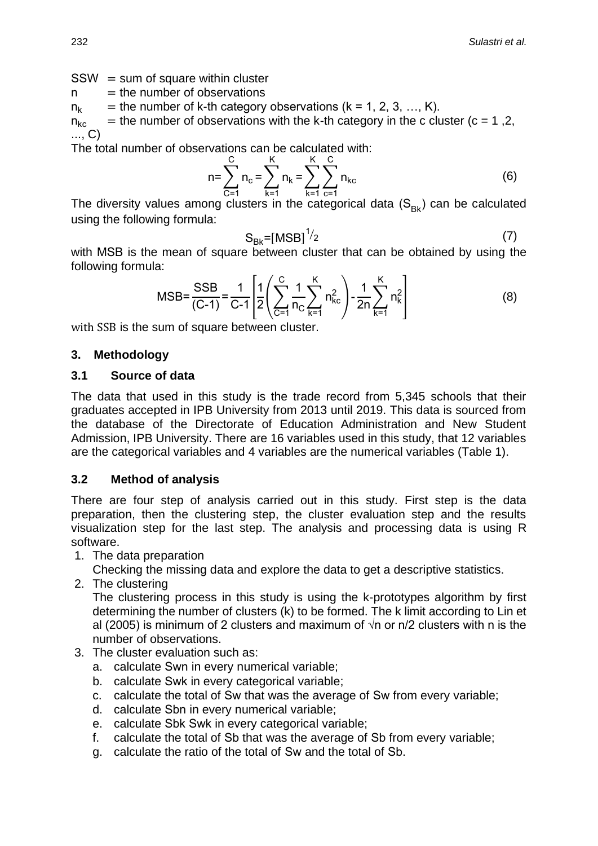$SSW = sum of square within cluster$ 

 $n =$  the number of observations

 $n_k$  = the number of k-th category observations (k = 1, 2, 3, ..., K).

 $n_{kc}$  = the number of observations with the k-th category in the c cluster (c = 1,2, ..., C)

The total number of observations can be calculated with:

$$
n = \sum_{C=1}^{C} n_C = \sum_{k=1}^{K} n_k = \sum_{k=1}^{K} \sum_{C=1}^{C} n_{kc}
$$
 (6)

The diversity values among clusters in the categorical data  $(S_{Bk})$  can be calculated using the following formula:

$$
S_{Bk} = [MSB]^{1/2} \tag{7}
$$

with MSB is the mean of square between cluster that can be obtained by using the following formula:

$$
\text{MSB} = \frac{\text{SSB}}{(\text{C} - 1)} = \frac{1}{\text{C} - 1} \left[ \frac{1}{2} \left( \sum_{C=1}^{C} \frac{1}{n_C} \sum_{k=1}^{K} n_{kc}^2 \right) - \frac{1}{2n} \sum_{k=1}^{K} n_k^2 \right]
$$
(8)

with SSB is the sum of square between cluster.

#### **3. Methodology**

#### **3.1 Source of data**

The data that used in this study is the trade record from 5,345 schools that their graduates accepted in IPB University from 2013 until 2019. This data is sourced from the database of the Directorate of Education Administration and New Student Admission, IPB University. There are 16 variables used in this study, that 12 variables are the categorical variables and 4 variables are the numerical variables (Table 1).

## **3.2 Method of analysis**

There are four step of analysis carried out in this study. First step is the data preparation, then the clustering step, the cluster evaluation step and the results visualization step for the last step. The analysis and processing data is using R software.

1. The data preparation

Checking the missing data and explore the data to get a descriptive statistics.

2. The clustering

The clustering process in this study is using the k-prototypes algorithm by first determining the number of clusters (k) to be formed. The k limit according to Lin et al (2005) is minimum of 2 clusters and maximum of  $\sqrt{n}$  or n/2 clusters with n is the number of observations.

- 3. The cluster evaluation such as:
	- a. calculate Swn in every numerical variable;
	- b. calculate Swk in every categorical variable;
	- c. calculate the total of Sw that was the average of Sw from every variable;
	- d. calculate Sbn in every numerical variable;
	- e. calculate Sbk Swk in every categorical variable;
	- f. calculate the total of Sb that was the average of Sb from every variable;
	- g. calculate the ratio of the total of Sw and the total of Sb.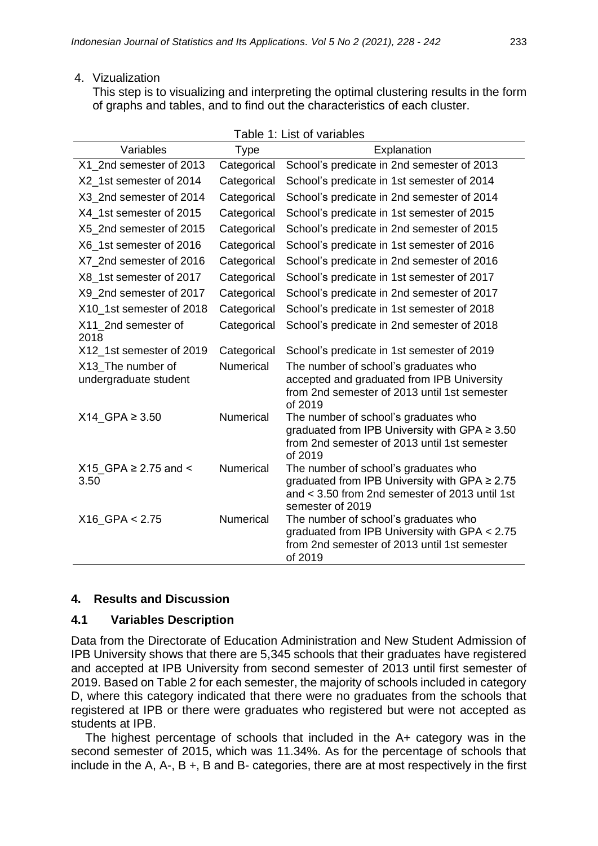#### 4. Vizualization

This step is to visualizing and interpreting the optimal clustering results in the form of graphs and tables, and to find out the characteristics of each cluster.

| Table 1: List of variables                 |                  |                                                                                                                                                                  |  |  |  |
|--------------------------------------------|------------------|------------------------------------------------------------------------------------------------------------------------------------------------------------------|--|--|--|
| Variables                                  | <b>Type</b>      | Explanation                                                                                                                                                      |  |  |  |
| X1 2nd semester of 2013                    | Categorical      | School's predicate in 2nd semester of 2013                                                                                                                       |  |  |  |
| X2_1st semester of 2014                    | Categorical      | School's predicate in 1st semester of 2014                                                                                                                       |  |  |  |
| X3 2nd semester of 2014                    | Categorical      | School's predicate in 2nd semester of 2014                                                                                                                       |  |  |  |
| X4 1st semester of 2015                    | Categorical      | School's predicate in 1st semester of 2015                                                                                                                       |  |  |  |
| X5 2nd semester of 2015                    | Categorical      | School's predicate in 2nd semester of 2015                                                                                                                       |  |  |  |
| X6_1st semester of 2016                    | Categorical      | School's predicate in 1st semester of 2016                                                                                                                       |  |  |  |
| X7_2nd semester of 2016                    | Categorical      | School's predicate in 2nd semester of 2016                                                                                                                       |  |  |  |
| X8_1st semester of 2017                    | Categorical      | School's predicate in 1st semester of 2017                                                                                                                       |  |  |  |
| X9 2nd semester of 2017                    | Categorical      | School's predicate in 2nd semester of 2017                                                                                                                       |  |  |  |
| X10_1st semester of 2018                   | Categorical      | School's predicate in 1st semester of 2018                                                                                                                       |  |  |  |
| X11_2nd semester of<br>2018                | Categorical      | School's predicate in 2nd semester of 2018                                                                                                                       |  |  |  |
| X12_1st semester of 2019                   | Categorical      | School's predicate in 1st semester of 2019                                                                                                                       |  |  |  |
| X13 The number of<br>undergraduate student | <b>Numerical</b> | The number of school's graduates who<br>accepted and graduated from IPB University<br>from 2nd semester of 2013 until 1st semester<br>of 2019                    |  |  |  |
| X14 GPA ≥ 3.50                             | <b>Numerical</b> | The number of school's graduates who<br>graduated from IPB University with GPA $\geq 3.50$<br>from 2nd semester of 2013 until 1st semester<br>of 2019            |  |  |  |
| X15 GPA ≥ 2.75 and <<br>3.50               | <b>Numerical</b> | The number of school's graduates who<br>graduated from IPB University with GPA $\geq$ 2.75<br>and < 3.50 from 2nd semester of 2013 until 1st<br>semester of 2019 |  |  |  |
| $X16_GPA < 2.75$                           | Numerical        | The number of school's graduates who<br>graduated from IPB University with GPA < 2.75<br>from 2nd semester of 2013 until 1st semester<br>of 2019                 |  |  |  |

#### **4. Results and Discussion**

#### **4.1 Variables Description**

Data from the Directorate of Education Administration and New Student Admission of IPB University shows that there are 5,345 schools that their graduates have registered and accepted at IPB University from second semester of 2013 until first semester of 2019. Based on Table 2 for each semester, the majority of schools included in category D, where this category indicated that there were no graduates from the schools that registered at IPB or there were graduates who registered but were not accepted as students at IPB.

The highest percentage of schools that included in the A+ category was in the second semester of 2015, which was 11.34%. As for the percentage of schools that include in the A, A-, B  $+$ , B and B- categories, there are at most respectively in the first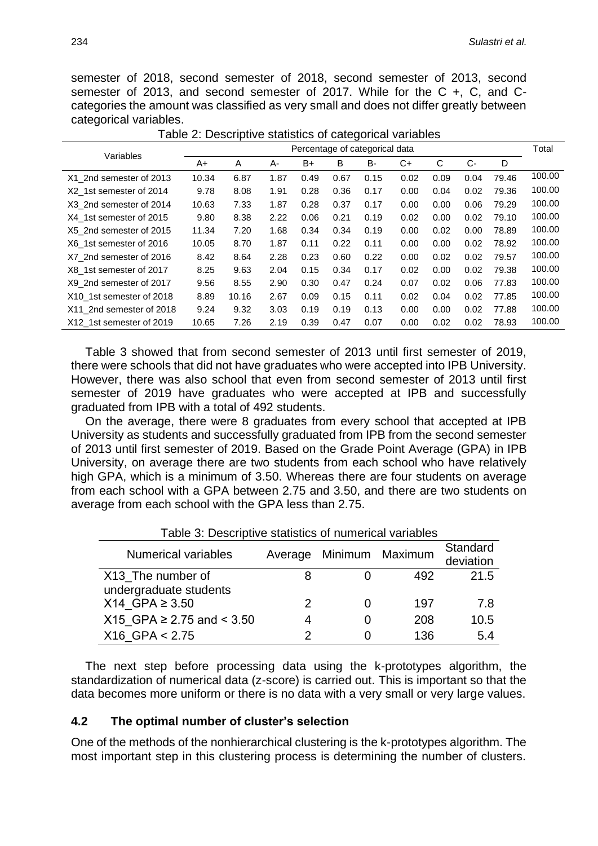semester of 2018, second semester of 2018, second semester of 2013, second semester of 2013, and second semester of 2017. While for the C +, C, and Ccategories the amount was classified as very small and does not differ greatly between categorical variables.

| Variables                | Percentage of categorical data |       |      |      |      |      | Total |      |      |       |        |
|--------------------------|--------------------------------|-------|------|------|------|------|-------|------|------|-------|--------|
|                          | A+                             | A     | А-   | B+   | B    | B-   | C+    | С    | $C-$ | D     |        |
| X1 2nd semester of 2013  | 10.34                          | 6.87  | 1.87 | 0.49 | 0.67 | 0.15 | 0.02  | 0.09 | 0.04 | 79.46 | 100.00 |
| X2 1st semester of 2014  | 9.78                           | 8.08  | 1.91 | 0.28 | 0.36 | 0.17 | 0.00  | 0.04 | 0.02 | 79.36 | 100.00 |
| X3 2nd semester of 2014  | 10.63                          | 7.33  | 1.87 | 0.28 | 0.37 | 0.17 | 0.00  | 0.00 | 0.06 | 79.29 | 100.00 |
| X4 1st semester of 2015  | 9.80                           | 8.38  | 2.22 | 0.06 | 0.21 | 0.19 | 0.02  | 0.00 | 0.02 | 79.10 | 100.00 |
| X5 2nd semester of 2015  | 11.34                          | 7.20  | 1.68 | 0.34 | 0.34 | 0.19 | 0.00  | 0.02 | 0.00 | 78.89 | 100.00 |
| X6 1st semester of 2016  | 10.05                          | 8.70  | 1.87 | 0.11 | 0.22 | 0.11 | 0.00  | 0.00 | 0.02 | 78.92 | 100.00 |
| X7 2nd semester of 2016  | 8.42                           | 8.64  | 2.28 | 0.23 | 0.60 | 0.22 | 0.00  | 0.02 | 0.02 | 79.57 | 100.00 |
| X8 1st semester of 2017  | 8.25                           | 9.63  | 2.04 | 0.15 | 0.34 | 0.17 | 0.02  | 0.00 | 0.02 | 79.38 | 100.00 |
| X9 2nd semester of 2017  | 9.56                           | 8.55  | 2.90 | 0.30 | 0.47 | 0.24 | 0.07  | 0.02 | 0.06 | 77.83 | 100.00 |
| X10 1st semester of 2018 | 8.89                           | 10.16 | 2.67 | 0.09 | 0.15 | 0.11 | 0.02  | 0.04 | 0.02 | 77.85 | 100.00 |
| X11 2nd semester of 2018 | 9.24                           | 9.32  | 3.03 | 0.19 | 0.19 | 0.13 | 0.00  | 0.00 | 0.02 | 77.88 | 100.00 |
| X12 1st semester of 2019 | 10.65                          | 7.26  | 2.19 | 0.39 | 0.47 | 0.07 | 0.00  | 0.02 | 0.02 | 78.93 | 100.00 |

Table 2: Descriptive statistics of categorical variables

Table 3 showed that from second semester of 2013 until first semester of 2019, there were schools that did not have graduates who were accepted into IPB University. However, there was also school that even from second semester of 2013 until first semester of 2019 have graduates who were accepted at IPB and successfully graduated from IPB with a total of 492 students.

On the average, there were 8 graduates from every school that accepted at IPB University as students and successfully graduated from IPB from the second semester of 2013 until first semester of 2019. Based on the Grade Point Average (GPA) in IPB University, on average there are two students from each school who have relatively high GPA, which is a minimum of 3.50. Whereas there are four students on average from each school with a GPA between 2.75 and 3.50, and there are two students on average from each school with the GPA less than 2.75.

| l able 3: Descriptive statistics of numerical variables |         |              |         |           |  |  |  |  |
|---------------------------------------------------------|---------|--------------|---------|-----------|--|--|--|--|
| <b>Numerical variables</b>                              | Average | Minimum      | Maximum | Standard  |  |  |  |  |
|                                                         |         |              |         | deviation |  |  |  |  |
| X13 The number of                                       |         |              | 492     | 21.5      |  |  |  |  |
| undergraduate students                                  |         |              |         |           |  |  |  |  |
| X14 GPA ≥ 3.50                                          |         |              | 197     | 7.8       |  |  |  |  |
| X15 GPA ≥ 2.75 and < $3.50$                             | 4       | $\mathbf{0}$ | 208     | 10.5      |  |  |  |  |
| $X16$ GPA $< 2.75$                                      |         |              | 136     | 5.4       |  |  |  |  |

Table 3: Descriptive statistics of numerical variables

The next step before processing data using the k-prototypes algorithm, the standardization of numerical data (z-score) is carried out. This is important so that the data becomes more uniform or there is no data with a very small or very large values.

#### **4.2 The optimal number of cluster's selection**

One of the methods of the nonhierarchical clustering is the k-prototypes algorithm. The most important step in this clustering process is determining the number of clusters.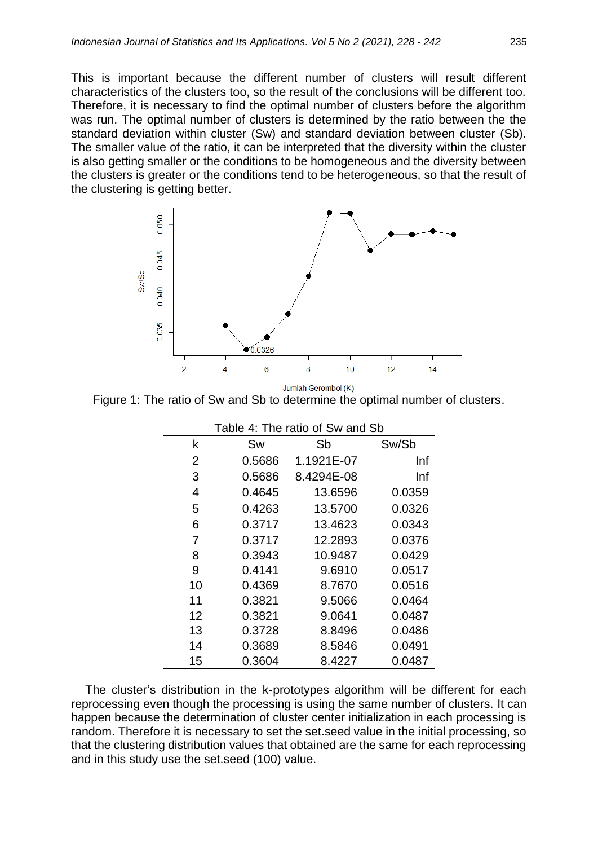This is important because the different number of clusters will result different characteristics of the clusters too, so the result of the conclusions will be different too. Therefore, it is necessary to find the optimal number of clusters before the algorithm was run. The optimal number of clusters is determined by the ratio between the the standard deviation within cluster (Sw) and standard deviation between cluster (Sb). The smaller value of the ratio, it can be interpreted that the diversity within the cluster is also getting smaller or the conditions to be homogeneous and the diversity between the clusters is greater or the conditions tend to be heterogeneous, so that the result of the clustering is getting better.



Jumlah Gerombol (K)

Figure 1: The ratio of Sw and Sb to determine the optimal number of clusters.

|    | Table 4: The ratio of Sw and Sb |            |        |  |  |  |  |
|----|---------------------------------|------------|--------|--|--|--|--|
| k  | Sw                              | Sb         | Sw/Sb  |  |  |  |  |
| 2  | 0.5686                          | 1.1921E-07 | Inf    |  |  |  |  |
| 3  | 0.5686                          | 8.4294E-08 | Inf    |  |  |  |  |
| 4  | 0.4645                          | 13.6596    | 0.0359 |  |  |  |  |
| 5  | 0.4263                          | 13.5700    | 0.0326 |  |  |  |  |
| 6  | 0.3717                          | 13.4623    | 0.0343 |  |  |  |  |
| 7  | 0.3717                          | 12.2893    | 0.0376 |  |  |  |  |
| 8  | 0.3943                          | 10.9487    | 0.0429 |  |  |  |  |
| 9  | 0.4141                          | 9.6910     | 0.0517 |  |  |  |  |
| 10 | 0.4369                          | 8.7670     | 0.0516 |  |  |  |  |
| 11 | 0.3821                          | 9.5066     | 0.0464 |  |  |  |  |
| 12 | 0.3821                          | 9.0641     | 0.0487 |  |  |  |  |
| 13 | 0.3728                          | 8.8496     | 0.0486 |  |  |  |  |
| 14 | 0.3689                          | 8.5846     | 0.0491 |  |  |  |  |
| 15 | 0.3604                          | 8.4227     | 0.0487 |  |  |  |  |

The cluster's distribution in the k-prototypes algorithm will be different for each reprocessing even though the processing is using the same number of clusters. It can happen because the determination of cluster center initialization in each processing is random. Therefore it is necessary to set the set.seed value in the initial processing, so that the clustering distribution values that obtained are the same for each reprocessing and in this study use the set.seed (100) value.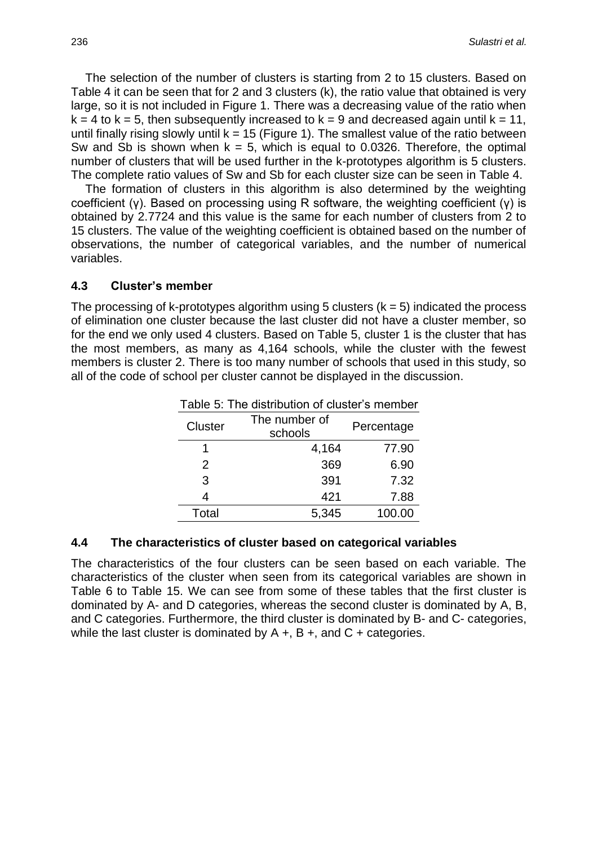The selection of the number of clusters is starting from 2 to 15 clusters. Based on Table 4 it can be seen that for 2 and 3 clusters (k), the ratio value that obtained is very large, so it is not included in Figure 1. There was a decreasing value of the ratio when  $k = 4$  to  $k = 5$ , then subsequently increased to  $k = 9$  and decreased again until  $k = 11$ , until finally rising slowly until  $k = 15$  (Figure 1). The smallest value of the ratio between Sw and Sb is shown when  $k = 5$ , which is equal to 0.0326. Therefore, the optimal number of clusters that will be used further in the k-prototypes algorithm is 5 clusters. The complete ratio values of Sw and Sb for each cluster size can be seen in Table 4.

The formation of clusters in this algorithm is also determined by the weighting coefficient (γ). Based on processing using R software, the weighting coefficient (γ) is obtained by 2.7724 and this value is the same for each number of clusters from 2 to 15 clusters. The value of the weighting coefficient is obtained based on the number of observations, the number of categorical variables, and the number of numerical variables.

#### **4.3 Cluster's member**

The processing of k-prototypes algorithm using 5 clusters  $(k = 5)$  indicated the process of elimination one cluster because the last cluster did not have a cluster member, so for the end we only used 4 clusters. Based on Table 5, cluster 1 is the cluster that has the most members, as many as 4,164 schools, while the cluster with the fewest members is cluster 2. There is too many number of schools that used in this study, so all of the code of school per cluster cannot be displayed in the discussion.

| Table 5: The distribution of cluster's member |                          |            |  |  |  |
|-----------------------------------------------|--------------------------|------------|--|--|--|
| <b>Cluster</b>                                | The number of<br>schools | Percentage |  |  |  |
|                                               | 4,164                    | 77.90      |  |  |  |
| 2                                             | 369                      | 6.90       |  |  |  |
| 3                                             | 391                      | 7.32       |  |  |  |
| 4                                             | 421                      | 7.88       |  |  |  |
| Total                                         | 5,345                    | 100.00     |  |  |  |

#### **4.4 The characteristics of cluster based on categorical variables**

The characteristics of the four clusters can be seen based on each variable. The characteristics of the cluster when seen from its categorical variables are shown in Table 6 to Table 15. We can see from some of these tables that the first cluster is dominated by A- and D categories, whereas the second cluster is dominated by A, B, and C categories. Furthermore, the third cluster is dominated by B- and C- categories, while the last cluster is dominated by  $A + B +$ , and  $C +$  categories.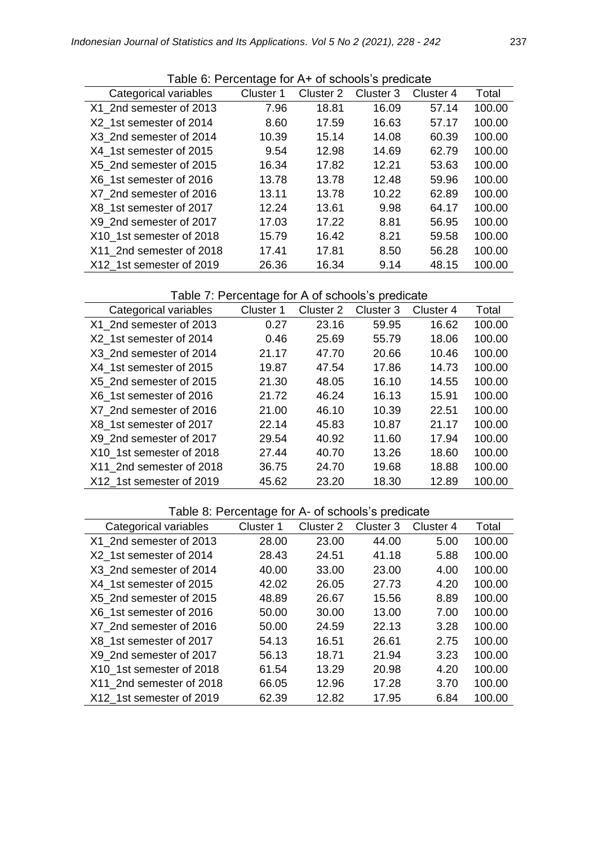|                          | Table 0. I creditage for A TVI serious 3 predicate |           |           |           |        |
|--------------------------|----------------------------------------------------|-----------|-----------|-----------|--------|
| Categorical variables    | Cluster 1                                          | Cluster 2 | Cluster 3 | Cluster 4 | Total  |
| X1 2nd semester of 2013  | 7.96                                               | 18.81     | 16.09     | 57.14     | 100.00 |
| X2 1st semester of 2014  | 8.60                                               | 17.59     | 16.63     | 57.17     | 100.00 |
| X3 2nd semester of 2014  | 10.39                                              | 15.14     | 14.08     | 60.39     | 100.00 |
| X4 1st semester of 2015  | 9.54                                               | 12.98     | 14.69     | 62.79     | 100.00 |
| X5 2nd semester of 2015  | 16.34                                              | 17.82     | 12.21     | 53.63     | 100.00 |
| X6 1st semester of 2016  | 13.78                                              | 13.78     | 12.48     | 59.96     | 100.00 |
| X7 2nd semester of 2016  | 13.11                                              | 13.78     | 10.22     | 62.89     | 100.00 |
| X8 1st semester of 2017  | 12.24                                              | 13.61     | 9.98      | 64.17     | 100.00 |
| X9 2nd semester of 2017  | 17.03                                              | 17.22     | 8.81      | 56.95     | 100.00 |
| X10 1st semester of 2018 | 15.79                                              | 16.42     | 8.21      | 59.58     | 100.00 |
| X11 2nd semester of 2018 | 17.41                                              | 17.81     | 8.50      | 56.28     | 100.00 |
| X12 1st semester of 2019 | 26.36                                              | 16.34     | 9.14      | 48.15     | 100.00 |

Table 6: Percentage for A+ of schools's predicate

## Table 7: Percentage for A of schools's predicate

| Categorical variables    | Cluster 1 | Cluster 2 | Cluster 3 | Cluster 4 | Total  |
|--------------------------|-----------|-----------|-----------|-----------|--------|
| X1 2nd semester of 2013  | 0.27      | 23.16     | 59.95     | 16.62     | 100.00 |
| X2 1st semester of 2014  | 0.46      | 25.69     | 55.79     | 18.06     | 100.00 |
| X3 2nd semester of 2014  | 21.17     | 47.70     | 20.66     | 10.46     | 100.00 |
| X4 1st semester of 2015  | 19.87     | 47.54     | 17.86     | 14.73     | 100.00 |
| X5 2nd semester of 2015  | 21.30     | 48.05     | 16.10     | 14.55     | 100.00 |
| X6 1st semester of 2016  | 21.72     | 46.24     | 16.13     | 15.91     | 100.00 |
| X7 2nd semester of 2016  | 21.00     | 46.10     | 10.39     | 22.51     | 100.00 |
| X8 1st semester of 2017  | 22.14     | 45.83     | 10.87     | 21.17     | 100.00 |
| X9 2nd semester of 2017  | 29.54     | 40.92     | 11.60     | 17.94     | 100.00 |
| X10 1st semester of 2018 | 27.44     | 40.70     | 13.26     | 18.60     | 100.00 |
| X11 2nd semester of 2018 | 36.75     | 24.70     | 19.68     | 18.88     | 100.00 |
| X12 1st semester of 2019 | 45.62     | 23.20     | 18.30     | 12.89     | 100.00 |

## Table 8: Percentage for A- of schools's predicate

| Categorical variables    | Cluster 1 | Cluster 2 | Cluster 3 | Cluster 4 | Total  |
|--------------------------|-----------|-----------|-----------|-----------|--------|
| X1 2nd semester of 2013  | 28.00     | 23.00     | 44.00     | 5.00      | 100.00 |
| X2 1st semester of 2014  | 28.43     | 24.51     | 41.18     | 5.88      | 100.00 |
| X3 2nd semester of 2014  | 40.00     | 33.00     | 23.00     | 4.00      | 100.00 |
| X4 1st semester of 2015  | 42.02     | 26.05     | 27.73     | 4.20      | 100.00 |
| X5 2nd semester of 2015  | 48.89     | 26.67     | 15.56     | 8.89      | 100.00 |
| X6 1st semester of 2016  | 50.00     | 30.00     | 13.00     | 7.00      | 100.00 |
| X7 2nd semester of 2016  | 50.00     | 24.59     | 22.13     | 3.28      | 100.00 |
| X8 1st semester of 2017  | 54.13     | 16.51     | 26.61     | 2.75      | 100.00 |
| X9 2nd semester of 2017  | 56.13     | 18.71     | 21.94     | 3.23      | 100.00 |
| X10 1st semester of 2018 | 61.54     | 13.29     | 20.98     | 4.20      | 100.00 |
| X11 2nd semester of 2018 | 66.05     | 12.96     | 17.28     | 3.70      | 100.00 |
| X12 1st semester of 2019 | 62.39     | 12.82     | 17.95     | 6.84      | 100.00 |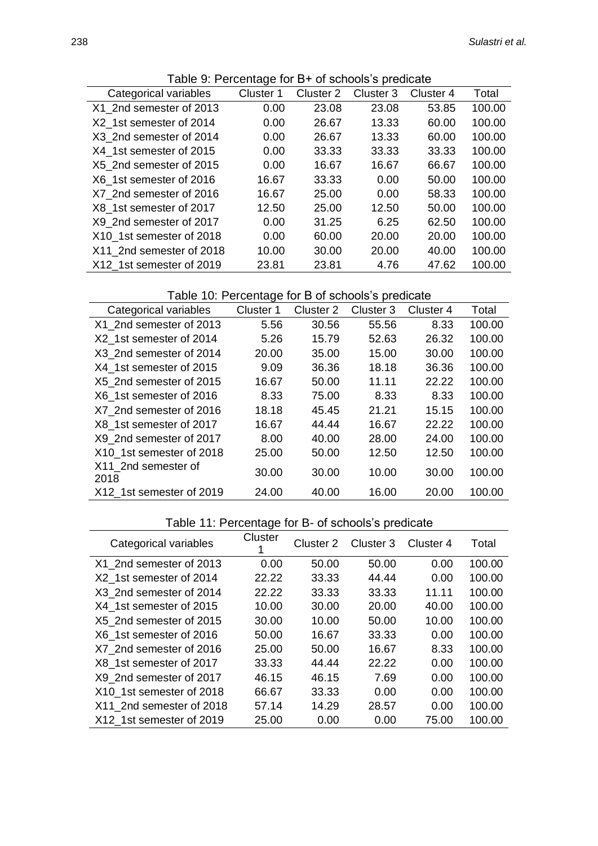| $\mu$ able 5. Fercentage for D+ or scribers s predicate |           |           |           |           |        |
|---------------------------------------------------------|-----------|-----------|-----------|-----------|--------|
| Categorical variables                                   | Cluster 1 | Cluster 2 | Cluster 3 | Cluster 4 | Total  |
| X1 2nd semester of 2013                                 | 0.00      | 23.08     | 23.08     | 53.85     | 100.00 |
| X2 1st semester of 2014                                 | 0.00      | 26.67     | 13.33     | 60.00     | 100.00 |
| X3 2nd semester of 2014                                 | 0.00      | 26.67     | 13.33     | 60.00     | 100.00 |
| X4 1st semester of 2015                                 | 0.00      | 33.33     | 33.33     | 33.33     | 100.00 |
| X5 2nd semester of 2015                                 | 0.00      | 16.67     | 16.67     | 66.67     | 100.00 |
| X6 1st semester of 2016                                 | 16.67     | 33.33     | 0.00      | 50.00     | 100.00 |
| X7 2nd semester of 2016                                 | 16.67     | 25.00     | 0.00      | 58.33     | 100.00 |
| X8 1st semester of 2017                                 | 12.50     | 25.00     | 12.50     | 50.00     | 100.00 |
| X9 2nd semester of 2017                                 | 0.00      | 31.25     | 6.25      | 62.50     | 100.00 |
| X10 1st semester of 2018                                | 0.00      | 60.00     | 20.00     | 20.00     | 100.00 |
| X11 2nd semester of 2018                                | 10.00     | 30.00     | 20.00     | 40.00     | 100.00 |
| X12 1st semester of 2019                                | 23.81     | 23.81     | 4.76      | 47.62     | 100.00 |

# Table 10: Percentage for B of schools's predicate

| Categorical variables       | Cluster 1 | Cluster 2 | Cluster <sub>3</sub> | Cluster 4 | Total  |
|-----------------------------|-----------|-----------|----------------------|-----------|--------|
| X1 2nd semester of 2013     | 5.56      | 30.56     | 55.56                | 8.33      | 100.00 |
| X2 1st semester of 2014     | 5.26      | 15.79     | 52.63                | 26.32     | 100.00 |
| X3 2nd semester of 2014     | 20.00     | 35.00     | 15.00                | 30.00     | 100.00 |
| X4 1st semester of 2015     | 9.09      | 36.36     | 18.18                | 36.36     | 100.00 |
| X5 2nd semester of 2015     | 16.67     | 50.00     | 11.11                | 22.22     | 100.00 |
| X6 1st semester of 2016     | 8.33      | 75.00     | 8.33                 | 8.33      | 100.00 |
| X7 2nd semester of 2016     | 18.18     | 45.45     | 21.21                | 15.15     | 100.00 |
| X8 1st semester of 2017     | 16.67     | 44.44     | 16.67                | 22.22     | 100.00 |
| X9 2nd semester of 2017     | 8.00      | 40.00     | 28.00                | 24.00     | 100.00 |
| X10 1st semester of 2018    | 25.00     | 50.00     | 12.50                | 12.50     | 100.00 |
| X11 2nd semester of<br>2018 | 30.00     | 30.00     | 10.00                | 30.00     | 100.00 |
| X12 1st semester of 2019    | 24.00     | 40.00     | 16.00                | 20.00     | 100.00 |
|                             |           |           |                      |           |        |

# Table 11: Percentage for B- of schools's predicate

| Table TT. Fercentage for D- or scribble 3 prodicate |         |           |           |           |        |  |
|-----------------------------------------------------|---------|-----------|-----------|-----------|--------|--|
| Categorical variables                               | Cluster | Cluster 2 | Cluster 3 | Cluster 4 | Total  |  |
| X1 2nd semester of 2013                             | 0.00    | 50.00     | 50.00     | 0.00      | 100.00 |  |
| X2 1st semester of 2014                             | 22.22   | 33.33     | 44.44     | 0.00      | 100.00 |  |
| X3 2nd semester of 2014                             | 22.22   | 33.33     | 33.33     | 11.11     | 100.00 |  |
| X4 1st semester of 2015                             | 10.00   | 30.00     | 20.00     | 40.00     | 100.00 |  |
| X5 2nd semester of 2015                             | 30.00   | 10.00     | 50.00     | 10.00     | 100.00 |  |
| X6 1st semester of 2016                             | 50.00   | 16.67     | 33.33     | 0.00      | 100.00 |  |
| X7 2nd semester of 2016                             | 25.00   | 50.00     | 16.67     | 8.33      | 100.00 |  |
| X8 1st semester of 2017                             | 33.33   | 44.44     | 22.22     | 0.00      | 100.00 |  |
| X9 2nd semester of 2017                             | 46.15   | 46.15     | 7.69      | 0.00      | 100.00 |  |
| X10 1st semester of 2018                            | 66.67   | 33.33     | 0.00      | 0.00      | 100.00 |  |
| X11 2nd semester of 2018                            | 57.14   | 14.29     | 28.57     | 0.00      | 100.00 |  |
| X12 1st semester of 2019                            | 25.00   | 0.00      | 0.00      | 75.00     | 100.00 |  |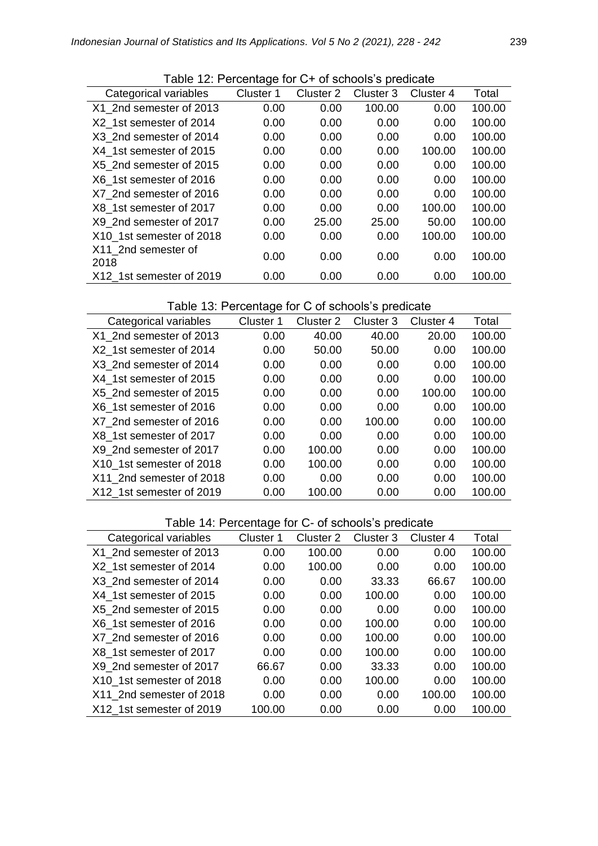| Table 12. I cludinage for U. Sullous 3 piculuale |           |           |           |           |        |
|--------------------------------------------------|-----------|-----------|-----------|-----------|--------|
| Categorical variables                            | Cluster 1 | Cluster 2 | Cluster 3 | Cluster 4 | Total  |
| X1 2nd semester of 2013                          | 0.00      | 0.00      | 100.00    | 0.00      | 100.00 |
| X2 1st semester of 2014                          | 0.00      | 0.00      | 0.00      | 0.00      | 100.00 |
| X3 2nd semester of 2014                          | 0.00      | 0.00      | 0.00      | 0.00      | 100.00 |
| X4 1st semester of 2015                          | 0.00      | 0.00      | 0.00      | 100.00    | 100.00 |
| X5 2nd semester of 2015                          | 0.00      | 0.00      | 0.00      | 0.00      | 100.00 |
| X6 1st semester of 2016                          | 0.00      | 0.00      | 0.00      | 0.00      | 100.00 |
| X7 2nd semester of 2016                          | 0.00      | 0.00      | 0.00      | 0.00      | 100.00 |
| X8 1st semester of 2017                          | 0.00      | 0.00      | 0.00      | 100.00    | 100.00 |
| X9 2nd semester of 2017                          | 0.00      | 25.00     | 25.00     | 50.00     | 100.00 |
| X10 1st semester of 2018                         | 0.00      | 0.00      | 0.00      | 100.00    | 100.00 |
| X11 2nd semester of<br>2018                      | 0.00      | 0.00      | 0.00      | 0.00      | 100.00 |
| X12 1st semester of 2019                         | 0.00      | 0.00      | 0.00      | 0.00      | 100.00 |

Table 12: Percentage for C+ of schools's predicate

Table 13: Percentage for C of schools's predicate

| Categorical variables    | Cluster 1 | Cluster 2 | Cluster 3 | Cluster 4 | Total  |
|--------------------------|-----------|-----------|-----------|-----------|--------|
| X1 2nd semester of 2013  | 0.00      | 40.00     | 40.00     | 20.00     | 100.00 |
| X2 1st semester of 2014  | 0.00      | 50.00     | 50.00     | 0.00      | 100.00 |
| X3 2nd semester of 2014  | 0.00      | 0.00      | 0.00      | 0.00      | 100.00 |
| X4 1st semester of 2015  | 0.00      | 0.00      | 0.00      | 0.00      | 100.00 |
| X5 2nd semester of 2015  | 0.00      | 0.00      | 0.00      | 100.00    | 100.00 |
| X6 1st semester of 2016  | 0.00      | 0.00      | 0.00      | 0.00      | 100.00 |
| X7 2nd semester of 2016  | 0.00      | 0.00      | 100.00    | 0.00      | 100.00 |
| X8 1st semester of 2017  | 0.00      | 0.00      | 0.00      | 0.00      | 100.00 |
| X9 2nd semester of 2017  | 0.00      | 100.00    | 0.00      | 0.00      | 100.00 |
| X10 1st semester of 2018 | 0.00      | 100.00    | 0.00      | 0.00      | 100.00 |
| X11 2nd semester of 2018 | 0.00      | 0.00      | 0.00      | 0.00      | 100.00 |
| X12 1st semester of 2019 | 0.00      | 100.00    | 0.00      | 0.00      | 100.00 |

## Table 14: Percentage for C- of schools's predicate

| rapio i ili propriago ibi o propriobio o programato<br>Categorical variables | Cluster 1 | Cluster 2 | Cluster 3 | Cluster 4 | Total  |
|------------------------------------------------------------------------------|-----------|-----------|-----------|-----------|--------|
| X1 2nd semester of 2013                                                      | 0.00      | 100.00    | 0.00      | 0.00      | 100.00 |
| X2 1st semester of 2014                                                      | 0.00      | 100.00    | 0.00      | 0.00      | 100.00 |
| X3 2nd semester of 2014                                                      | 0.00      | 0.00      | 33.33     | 66.67     | 100.00 |
| X4 1st semester of 2015                                                      | 0.00      | 0.00      | 100.00    | 0.00      | 100.00 |
| X5 2nd semester of 2015                                                      | 0.00      | 0.00      | 0.00      | 0.00      | 100.00 |
| X6 1st semester of 2016                                                      | 0.00      | 0.00      | 100.00    | 0.00      | 100.00 |
| X7 2nd semester of 2016                                                      | 0.00      | 0.00      | 100.00    | 0.00      | 100.00 |
| X8 1st semester of 2017                                                      | 0.00      | 0.00      | 100.00    | 0.00      | 100.00 |
| X9 2nd semester of 2017                                                      | 66.67     | 0.00      | 33.33     | 0.00      | 100.00 |
| X10 1st semester of 2018                                                     | 0.00      | 0.00      | 100.00    | 0.00      | 100.00 |
| X11 2nd semester of 2018                                                     | 0.00      | 0.00      | 0.00      | 100.00    | 100.00 |
| X12 1st semester of 2019                                                     | 100.00    | 0.00      | 0.00      | 0.00      | 100.00 |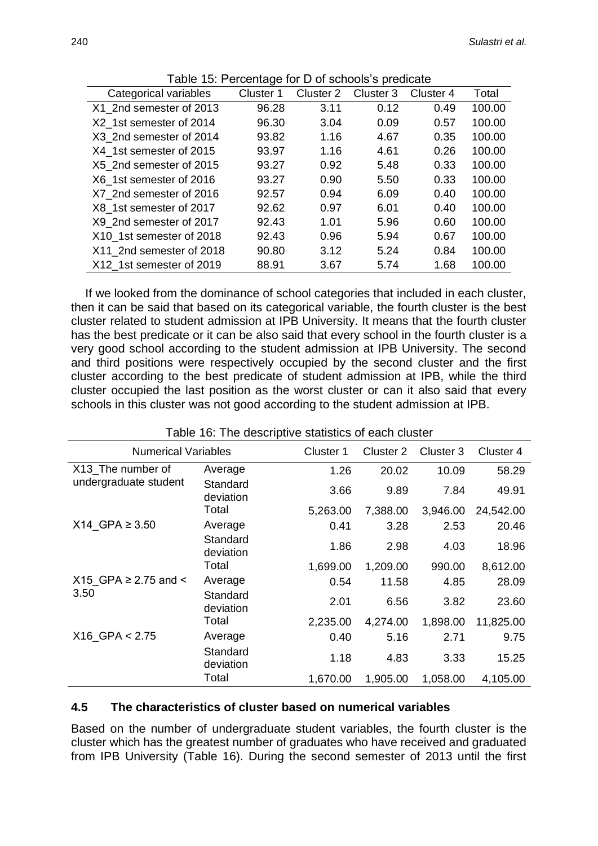|                          | ັ         |           |           |           |        |
|--------------------------|-----------|-----------|-----------|-----------|--------|
| Categorical variables    | Cluster 1 | Cluster 2 | Cluster 3 | Cluster 4 | Total  |
| X1 2nd semester of 2013  | 96.28     | 3.11      | 0.12      | 0.49      | 100.00 |
| X2 1st semester of 2014  | 96.30     | 3.04      | 0.09      | 0.57      | 100.00 |
| X3 2nd semester of 2014  | 93.82     | 1.16      | 4.67      | 0.35      | 100.00 |
| X4 1st semester of 2015  | 93.97     | 1.16      | 4.61      | 0.26      | 100.00 |
| X5 2nd semester of 2015  | 93.27     | 0.92      | 5.48      | 0.33      | 100.00 |
| X6 1st semester of 2016  | 93.27     | 0.90      | 5.50      | 0.33      | 100.00 |
| X7 2nd semester of 2016  | 92.57     | 0.94      | 6.09      | 0.40      | 100.00 |
| X8 1st semester of 2017  | 92.62     | 0.97      | 6.01      | 0.40      | 100.00 |
| X9 2nd semester of 2017  | 92.43     | 1.01      | 5.96      | 0.60      | 100.00 |
| X10 1st semester of 2018 | 92.43     | 0.96      | 5.94      | 0.67      | 100.00 |
| X11 2nd semester of 2018 | 90.80     | 3.12      | 5.24      | 0.84      | 100.00 |
| X12 1st semester of 2019 | 88.91     | 3.67      | 5.74      | 1.68      | 100.00 |

Table 15: Percentage for D of schools's predicate

If we looked from the dominance of school categories that included in each cluster, then it can be said that based on its categorical variable, the fourth cluster is the best cluster related to student admission at IPB University. It means that the fourth cluster has the best predicate or it can be also said that every school in the fourth cluster is a very good school according to the student admission at IPB University. The second and third positions were respectively occupied by the second cluster and the first cluster according to the best predicate of student admission at IPB, while the third cluster occupied the last position as the worst cluster or can it also said that every schools in this cluster was not good according to the student admission at IPB.

| Table 16: The descriptive statistics of each cluster |                       |           |           |           |           |
|------------------------------------------------------|-----------------------|-----------|-----------|-----------|-----------|
| <b>Numerical Variables</b>                           |                       | Cluster 1 | Cluster 2 | Cluster 3 | Cluster 4 |
| X13_The number of<br>undergraduate student           | Average               | 1.26      | 20.02     | 10.09     | 58.29     |
|                                                      | Standard<br>deviation | 3.66      | 9.89      | 7.84      | 49.91     |
|                                                      | Total                 | 5,263.00  | 7,388.00  | 3,946.00  | 24,542.00 |
| X14 GPA ≥ 3.50                                       | Average               | 0.41      | 3.28      | 2.53      | 20.46     |
|                                                      | Standard<br>deviation | 1.86      | 2.98      | 4.03      | 18.96     |
|                                                      | Total                 | 1,699.00  | 1,209.00  | 990.00    | 8,612.00  |
| X15 GPA ≥ 2.75 and <<br>3.50                         | Average               | 0.54      | 11.58     | 4.85      | 28.09     |
|                                                      | Standard<br>deviation | 2.01      | 6.56      | 3.82      | 23.60     |
|                                                      | Total                 | 2,235.00  | 4,274.00  | 1,898.00  | 11,825.00 |
| $X16_GPA < 2.75$                                     | Average               | 0.40      | 5.16      | 2.71      | 9.75      |
|                                                      | Standard<br>deviation | 1.18      | 4.83      | 3.33      | 15.25     |
|                                                      | Total                 | 1,670.00  | 1,905.00  | 1,058.00  | 4,105.00  |

#### **4.5 The characteristics of cluster based on numerical variables**

Based on the number of undergraduate student variables, the fourth cluster is the cluster which has the greatest number of graduates who have received and graduated from IPB University (Table 16). During the second semester of 2013 until the first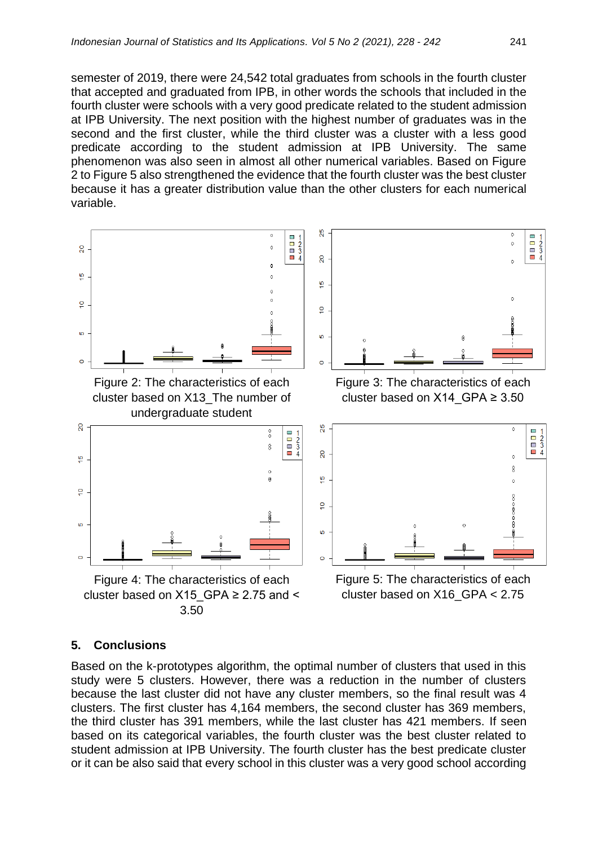semester of 2019, there were 24,542 total graduates from schools in the fourth cluster that accepted and graduated from IPB, in other words the schools that included in the fourth cluster were schools with a very good predicate related to the student admission at IPB University. The next position with the highest number of graduates was in the second and the first cluster, while the third cluster was a cluster with a less good predicate according to the student admission at IPB University. The same phenomenon was also seen in almost all other numerical variables. Based on Figure 2 to Figure 5 also strengthened the evidence that the fourth cluster was the best cluster because it has a greater distribution value than the other clusters for each numerical variable.



#### **5. Conclusions**

Based on the k-prototypes algorithm, the optimal number of clusters that used in this study were 5 clusters. However, there was a reduction in the number of clusters because the last cluster did not have any cluster members, so the final result was 4 clusters. The first cluster has 4,164 members, the second cluster has 369 members, the third cluster has 391 members, while the last cluster has 421 members. If seen based on its categorical variables, the fourth cluster was the best cluster related to student admission at IPB University. The fourth cluster has the best predicate cluster or it can be also said that every school in this cluster was a very good school according